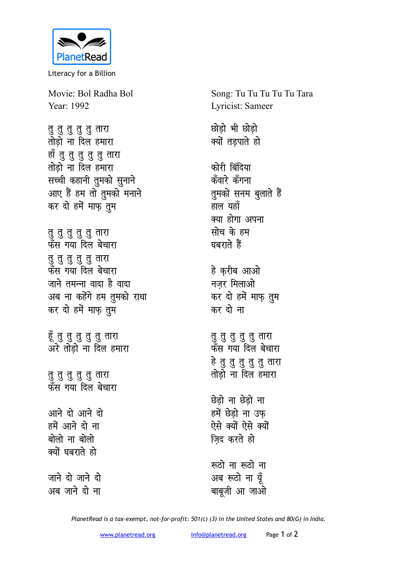

Literacy for a Billion

Movie: Bol Radha Bol Year: 1992

नु <mark>तु तु तु</mark> तारा तोड़ो ना दिल <mark>हमारा</mark> हाँ तु तु तु तु तार<mark>ा</mark> <u>तोड़ो ना दिल हमारा</u> सच्ची कहानी तुमको सुनाने आए हैं हम तो तुमको मनाने कर दो हमें माफ़ तुम

नु <mark>तु तु तु</mark> तारा फँस गया दिल बेच<mark>ा</mark>रा **rq rq rq rq rq rkjk** ्द्ध**र** गया दिल बेचारा जाने तमन्ना वादा है वादा अब ना कहेंगे हम तुमको राधा कर दो हमें माफ़ तुम

हूँ तु तु तु तु तारा अरे तोड़ो ना दिल हमा<mark>रा</mark>

नु <mark>तु तु तु</mark> तारा फँस गया दिल बेच<mark>ा</mark>रा

<u>आने दो आने दो</u> हमें आने दो ना बोलो ना बोलो क्यों घबराते **हो** 

जाने दो जाने दो <u>अब जाने दो ना</u>

Song: Tu Tu Tu Tu Tu Tara Lyricist: Sameer

**NksM+ks Hkh NksM+ks क्यों तड़पाते हो** 

कोरी बिंदिया कॅंवारे कॅंगना **तुमको सनम बुलाते हैं** हाल यहाँ क्या होगा अपना **सोच के हम** घबराते हैं

हे करीब आओ **नजर मिलाओ** कर दो हमें माफ़ तुम कर दो ना

न<br>तु तु तु तु तु ता<mark>रा</mark> फँस गया दिल बेच<mark>ा</mark>रा हे तु तु तु तु तारा तोड़ो ना दिल हमारा

**छेडो ना छेडो ना** हमें छेडो ना उफ ऐसे क्यों ऐसे क्यों **जिद करते हो** 

**:**<br>स्रुटो ना रूठो ना अब रूठो ना यूँ बाबूजी आ जाओ

*PlanetRead is a tax-exempt, not-for-profit: 501(c) (3) in the United States and 80(G) in India.*